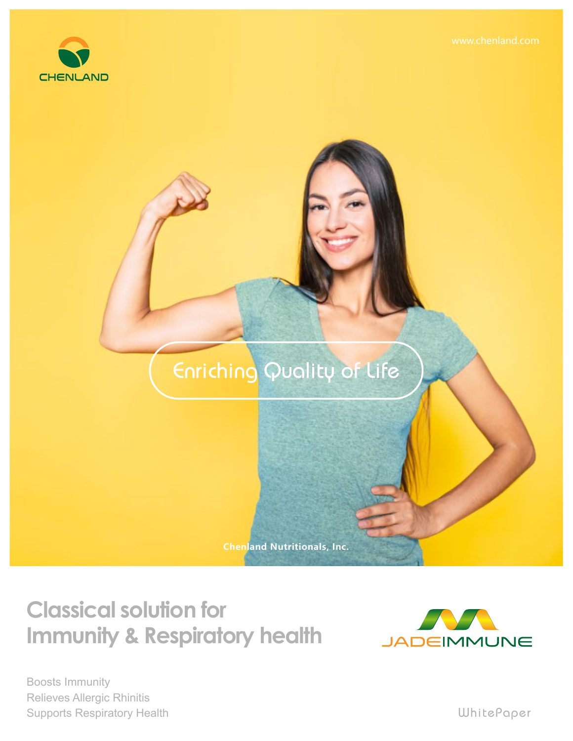

## Enriching Quality of Life

**Chenland Nutritionals, Inc.**

## **Classical solution for Immunity & Respiratory health**



Boosts Immunity Supports Respiratory Health Relieves Allergic Rhinitis

WhitePaper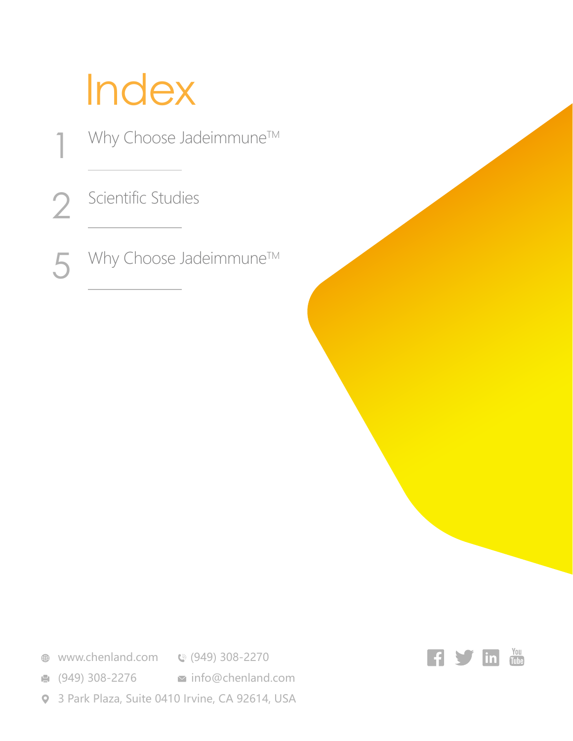# Index

Why Choose Jadeimmune™ Scientific Studies Why Choose Jadeimmune™ 1 2 5

**<sup>●</sup>** www.chenland.com **©** (949) 308-2270

**■** (949) 308-2276 **info@chenland.com** 

3 Park Plaza, Suite 0410 Irvine, CA 92614, USA